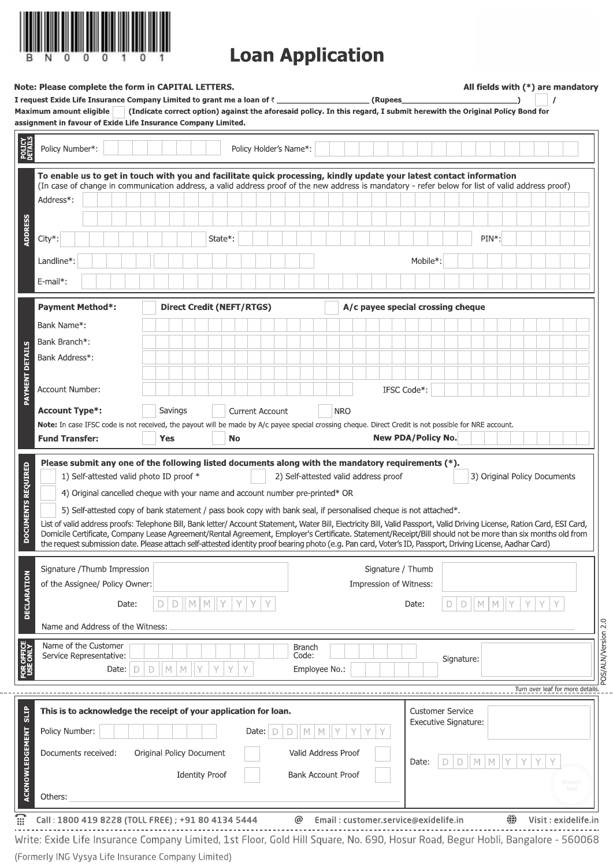

## **Loan Application**

| Maximum amount eligible<br>assignment in favour of Exide Life Insurance Company Limited.                                                                                                                                                                                                                                                                                                                                                                                                                                                                                                                                                                                                                                                               | (Indicate correct option) against the aforesaid policy. In this regard, I submit herewith the Original Policy Bond for | I request Exide Life Insurance Company Limited to grant me a loan of $\bar{z}$ ____________________________(Rupees_ |                 |                                      |                                   |                           |                                                 |   |            |                              |   |   |                                 |               |  |
|--------------------------------------------------------------------------------------------------------------------------------------------------------------------------------------------------------------------------------------------------------------------------------------------------------------------------------------------------------------------------------------------------------------------------------------------------------------------------------------------------------------------------------------------------------------------------------------------------------------------------------------------------------------------------------------------------------------------------------------------------------|------------------------------------------------------------------------------------------------------------------------|---------------------------------------------------------------------------------------------------------------------|-----------------|--------------------------------------|-----------------------------------|---------------------------|-------------------------------------------------|---|------------|------------------------------|---|---|---------------------------------|---------------|--|
| <b>POLICY</b><br>Policy Number*:                                                                                                                                                                                                                                                                                                                                                                                                                                                                                                                                                                                                                                                                                                                       |                                                                                                                        | Policy Holder's Name*:                                                                                              |                 |                                      |                                   |                           |                                                 |   |            |                              |   |   |                                 |               |  |
| To enable us to get in touch with you and facilitate quick processing, kindly update your latest contact information                                                                                                                                                                                                                                                                                                                                                                                                                                                                                                                                                                                                                                   |                                                                                                                        |                                                                                                                     |                 |                                      |                                   |                           |                                                 |   |            |                              |   |   |                                 |               |  |
| (In case of change in communication address, a valid address proof of the new address is mandatory - refer below for list of valid address proof)<br>Address*:                                                                                                                                                                                                                                                                                                                                                                                                                                                                                                                                                                                         |                                                                                                                        |                                                                                                                     |                 |                                      |                                   |                           |                                                 |   |            |                              |   |   |                                 |               |  |
|                                                                                                                                                                                                                                                                                                                                                                                                                                                                                                                                                                                                                                                                                                                                                        |                                                                                                                        |                                                                                                                     |                 |                                      |                                   |                           |                                                 |   |            |                              |   |   |                                 |               |  |
| <b>ADDRESS</b>                                                                                                                                                                                                                                                                                                                                                                                                                                                                                                                                                                                                                                                                                                                                         |                                                                                                                        |                                                                                                                     |                 |                                      |                                   |                           |                                                 |   |            |                              |   |   |                                 |               |  |
| City*:                                                                                                                                                                                                                                                                                                                                                                                                                                                                                                                                                                                                                                                                                                                                                 | State*:                                                                                                                |                                                                                                                     |                 |                                      |                                   |                           |                                                 |   |            | $PIN*$ :                     |   |   |                                 |               |  |
| Landline*:                                                                                                                                                                                                                                                                                                                                                                                                                                                                                                                                                                                                                                                                                                                                             |                                                                                                                        |                                                                                                                     |                 |                                      |                                   |                           | Mobile*:                                        |   |            |                              |   |   |                                 |               |  |
| $E$ -mail*:                                                                                                                                                                                                                                                                                                                                                                                                                                                                                                                                                                                                                                                                                                                                            |                                                                                                                        |                                                                                                                     |                 |                                      |                                   |                           |                                                 |   |            |                              |   |   |                                 |               |  |
| <b>Payment Method*:</b>                                                                                                                                                                                                                                                                                                                                                                                                                                                                                                                                                                                                                                                                                                                                | <b>Direct Credit (NEFT/RTGS)</b>                                                                                       |                                                                                                                     |                 |                                      | A/c payee special crossing cheque |                           |                                                 |   |            |                              |   |   |                                 |               |  |
| Bank Name*:                                                                                                                                                                                                                                                                                                                                                                                                                                                                                                                                                                                                                                                                                                                                            |                                                                                                                        |                                                                                                                     |                 |                                      |                                   |                           |                                                 |   |            |                              |   |   |                                 |               |  |
| Bank Branch*:                                                                                                                                                                                                                                                                                                                                                                                                                                                                                                                                                                                                                                                                                                                                          |                                                                                                                        |                                                                                                                     |                 |                                      |                                   |                           |                                                 |   |            |                              |   |   |                                 |               |  |
| Bank Address*:                                                                                                                                                                                                                                                                                                                                                                                                                                                                                                                                                                                                                                                                                                                                         |                                                                                                                        |                                                                                                                     |                 |                                      |                                   |                           |                                                 |   |            |                              |   |   |                                 |               |  |
| <b>PAYMENT DETAILS</b>                                                                                                                                                                                                                                                                                                                                                                                                                                                                                                                                                                                                                                                                                                                                 |                                                                                                                        |                                                                                                                     |                 |                                      |                                   |                           |                                                 |   |            |                              |   |   |                                 |               |  |
| Account Number:                                                                                                                                                                                                                                                                                                                                                                                                                                                                                                                                                                                                                                                                                                                                        |                                                                                                                        |                                                                                                                     |                 |                                      |                                   | IFSC Code*:               |                                                 |   |            |                              |   |   |                                 |               |  |
| <b>Account Type*:</b>                                                                                                                                                                                                                                                                                                                                                                                                                                                                                                                                                                                                                                                                                                                                  | Savings                                                                                                                | <b>Current Account</b>                                                                                              |                 | <b>NRO</b>                           |                                   |                           |                                                 |   |            |                              |   |   |                                 |               |  |
| Note: In case IFSC code is not received, the payout will be made by A/c payee special crossing cheque. Direct Credit is not possible for NRE account.                                                                                                                                                                                                                                                                                                                                                                                                                                                                                                                                                                                                  |                                                                                                                        |                                                                                                                     |                 |                                      |                                   |                           |                                                 |   |            |                              |   |   |                                 |               |  |
| <b>Fund Transfer:</b>                                                                                                                                                                                                                                                                                                                                                                                                                                                                                                                                                                                                                                                                                                                                  | <b>Yes</b>                                                                                                             | <b>No</b>                                                                                                           |                 |                                      |                                   |                           |                                                 |   |            |                              |   |   |                                 |               |  |
| Please submit any one of the following listed documents along with the mandatory requirements $(*)$ .                                                                                                                                                                                                                                                                                                                                                                                                                                                                                                                                                                                                                                                  |                                                                                                                        |                                                                                                                     |                 |                                      |                                   | <b>New PDA/Policy No.</b> |                                                 |   |            |                              |   |   |                                 |               |  |
| 1) Self-attested valid photo ID proof *<br>4) Original cancelled cheque with your name and account number pre-printed* OR<br>5) Self-attested copy of bank statement / pass book copy with bank seal, if personalised cheque is not attached*.<br>List of valid address proofs: Telephone Bill, Bank letter/ Account Statement, Water Bill, Electricity Bill, Valid Passport, Valid Driving License, Ration Card, ESI Card,<br>Domicile Certificate, Company Lease Agreement/Rental Agreement, Employer's Certificate. Statement/Receipt/Bill should not be more than six months old from<br>the request submission date. Please attach self-attested identity proof bearing photo (e.g. Pan card, Voter's ID, Passport, Driving License, Aadhar Card) |                                                                                                                        |                                                                                                                     |                 | 2) Self-attested valid address proof |                                   |                           |                                                 |   |            | 3) Original Policy Documents |   |   |                                 |               |  |
| <b>CUMENTS REQUIRED</b><br>Ā<br>Signature /Thumb Impression                                                                                                                                                                                                                                                                                                                                                                                                                                                                                                                                                                                                                                                                                            |                                                                                                                        |                                                                                                                     |                 |                                      | Signature / Thumb                 |                           |                                                 |   |            |                              |   |   |                                 |               |  |
| of the Assignee/ Policy Owner:                                                                                                                                                                                                                                                                                                                                                                                                                                                                                                                                                                                                                                                                                                                         |                                                                                                                        |                                                                                                                     |                 |                                      | Impression of Witness:            |                           |                                                 |   |            |                              |   |   |                                 |               |  |
| Date:                                                                                                                                                                                                                                                                                                                                                                                                                                                                                                                                                                                                                                                                                                                                                  | $\mathbb N$<br>$\mathbb N$<br>D<br>D                                                                                   | Υ                                                                                                                   |                 |                                      |                                   | Date:                     |                                                 | D | D          | $\mathbb N$<br>$\mathbb{M}$  | Υ | Y | Y                               |               |  |
| <b>DECLARATION</b><br>Name and Address of the Witness:                                                                                                                                                                                                                                                                                                                                                                                                                                                                                                                                                                                                                                                                                                 |                                                                                                                        |                                                                                                                     |                 |                                      |                                   |                           |                                                 |   |            |                              |   |   |                                 |               |  |
| Name of the Customer<br>Service Representative:<br>Date:<br>D                                                                                                                                                                                                                                                                                                                                                                                                                                                                                                                                                                                                                                                                                          | D                                                                                                                      |                                                                                                                     | Branch<br>Code: | Employee No.:                        |                                   |                           |                                                 |   | Signature: |                              |   |   |                                 |               |  |
|                                                                                                                                                                                                                                                                                                                                                                                                                                                                                                                                                                                                                                                                                                                                                        | $\mathbb N$<br>$\mathbb{M}% ^{2}/\mathbb{Z}_{k}^{2}$                                                                   |                                                                                                                     |                 |                                      |                                   |                           |                                                 |   |            |                              |   |   |                                 |               |  |
|                                                                                                                                                                                                                                                                                                                                                                                                                                                                                                                                                                                                                                                                                                                                                        |                                                                                                                        |                                                                                                                     |                 |                                      |                                   |                           |                                                 |   |            |                              |   |   | Turn over leaf for more details |               |  |
| This is to acknowledge the receipt of your application for loan.<br>Policy Number:                                                                                                                                                                                                                                                                                                                                                                                                                                                                                                                                                                                                                                                                     |                                                                                                                        | Date:<br>Ð                                                                                                          |                 |                                      |                                   |                           | <b>Customer Service</b><br>Executive Signature: |   |            |                              |   |   |                                 |               |  |
| Documents received:                                                                                                                                                                                                                                                                                                                                                                                                                                                                                                                                                                                                                                                                                                                                    | Original Policy Document                                                                                               |                                                                                                                     |                 | Valid Address Proof                  |                                   |                           |                                                 |   |            |                              |   |   |                                 |               |  |
| ACKNOWLEDGEMENT SLIP                                                                                                                                                                                                                                                                                                                                                                                                                                                                                                                                                                                                                                                                                                                                   |                                                                                                                        |                                                                                                                     |                 |                                      |                                   |                           | Date:                                           | D | D          | М                            |   |   |                                 |               |  |
| Others:                                                                                                                                                                                                                                                                                                                                                                                                                                                                                                                                                                                                                                                                                                                                                | <b>Identity Proof</b>                                                                                                  |                                                                                                                     |                 | <b>Bank Account Proof</b>            |                                   |                           |                                                 |   |            |                              |   |   |                                 | Branch<br>Sea |  |

 $\frac{332}{12}$ <u>....................</u> . . . . . . . . . . . . . . . . ------------------Write: Exide Life Insurance Company Limited, 1st Floor, Gold Hill Square, No. 690, Hosur Road, Begur Hobli, Bangalore - 560068 (Formerly ING Vysya Life Insurance Company Limited)